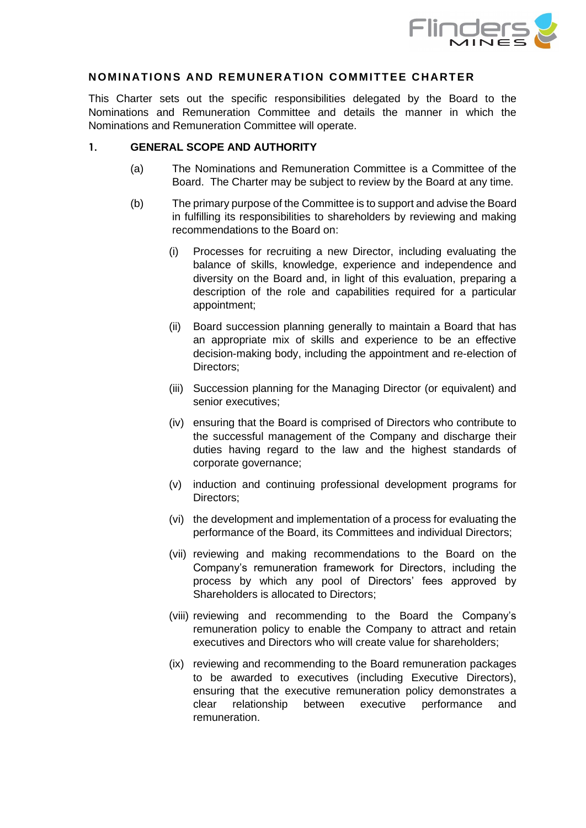

#### **NOMINATIONS AND REMUNERATION COMMITTEE CHARTER**

This Charter sets out the specific responsibilities delegated by the Board to the Nominations and Remuneration Committee and details the manner in which the Nominations and Remuneration Committee will operate.

#### **1. GENERAL SCOPE AND AUTHORITY**

- (a) The Nominations and Remuneration Committee is a Committee of the Board. The Charter may be subject to review by the Board at any time.
- (b) The primary purpose of the Committee is to support and advise the Board in fulfilling its responsibilities to shareholders by reviewing and making recommendations to the Board on:
	- (i) Processes for recruiting a new Director, including evaluating the balance of skills, knowledge, experience and independence and diversity on the Board and, in light of this evaluation, preparing a description of the role and capabilities required for a particular appointment;
	- (ii) Board succession planning generally to maintain a Board that has an appropriate mix of skills and experience to be an effective decision-making body, including the appointment and re-election of Directors;
	- (iii) Succession planning for the Managing Director (or equivalent) and senior executives;
	- (iv) ensuring that the Board is comprised of Directors who contribute to the successful management of the Company and discharge their duties having regard to the law and the highest standards of corporate governance;
	- (v) induction and continuing professional development programs for Directors;
	- (vi) the development and implementation of a process for evaluating the performance of the Board, its Committees and individual Directors;
	- (vii) reviewing and making recommendations to the Board on the Company's remuneration framework for Directors, including the process by which any pool of Directors' fees approved by Shareholders is allocated to Directors;
	- (viii) reviewing and recommending to the Board the Company's remuneration policy to enable the Company to attract and retain executives and Directors who will create value for shareholders;
	- (ix) reviewing and recommending to the Board remuneration packages to be awarded to executives (including Executive Directors), ensuring that the executive remuneration policy demonstrates a clear relationship between executive performance and remuneration.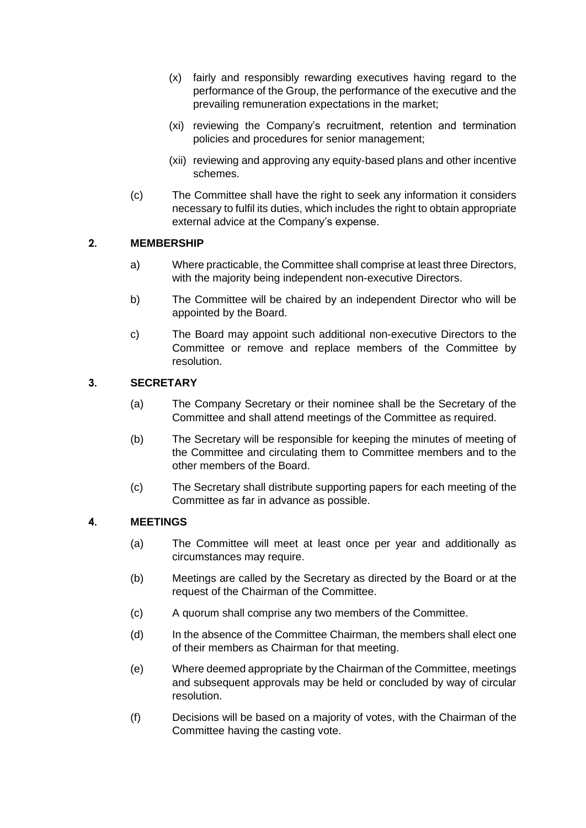- (x) fairly and responsibly rewarding executives having regard to the performance of the Group, the performance of the executive and the prevailing remuneration expectations in the market;
- (xi) reviewing the Company's recruitment, retention and termination policies and procedures for senior management;
- (xii) reviewing and approving any equity-based plans and other incentive schemes.
- (c) The Committee shall have the right to seek any information it considers necessary to fulfil its duties, which includes the right to obtain appropriate external advice at the Company's expense.

## **2. MEMBERSHIP**

- a) Where practicable, the Committee shall comprise at least three Directors, with the majority being independent non-executive Directors.
- b) The Committee will be chaired by an independent Director who will be appointed by the Board.
- c) The Board may appoint such additional non-executive Directors to the Committee or remove and replace members of the Committee by resolution.

## **3. SECRETARY**

- (a) The Company Secretary or their nominee shall be the Secretary of the Committee and shall attend meetings of the Committee as required.
- (b) The Secretary will be responsible for keeping the minutes of meeting of the Committee and circulating them to Committee members and to the other members of the Board.
- (c) The Secretary shall distribute supporting papers for each meeting of the Committee as far in advance as possible.

## **4. MEETINGS**

- (a) The Committee will meet at least once per year and additionally as circumstances may require.
- (b) Meetings are called by the Secretary as directed by the Board or at the request of the Chairman of the Committee.
- (c) A quorum shall comprise any two members of the Committee.
- (d) In the absence of the Committee Chairman, the members shall elect one of their members as Chairman for that meeting.
- (e) Where deemed appropriate by the Chairman of the Committee, meetings and subsequent approvals may be held or concluded by way of circular resolution.
- (f) Decisions will be based on a majority of votes, with the Chairman of the Committee having the casting vote.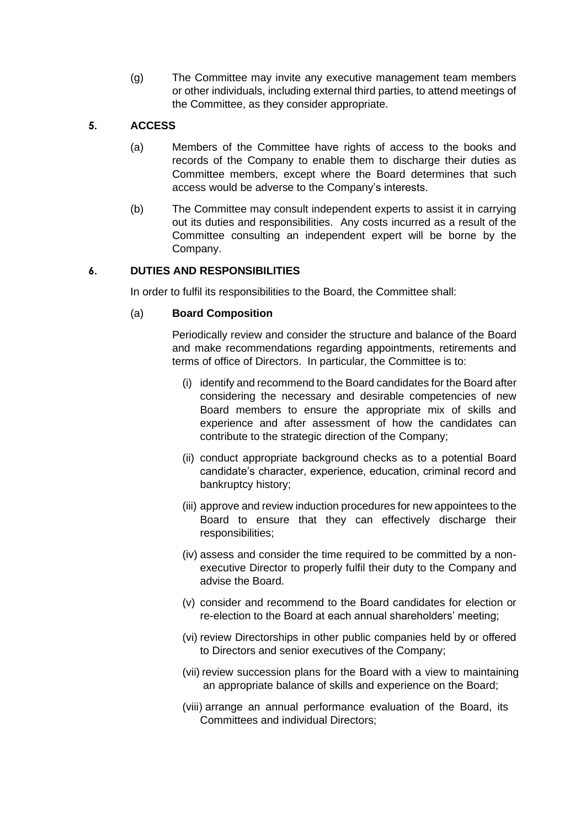(g) The Committee may invite any executive management team members or other individuals, including external third parties, to attend meetings of the Committee, as they consider appropriate.

# **5. ACCESS**

- (a) Members of the Committee have rights of access to the books and records of the Company to enable them to discharge their duties as Committee members, except where the Board determines that such access would be adverse to the Company's interests.
- (b) The Committee may consult independent experts to assist it in carrying out its duties and responsibilities. Any costs incurred as a result of the Committee consulting an independent expert will be borne by the Company.

## **6. DUTIES AND RESPONSIBILITIES**

In order to fulfil its responsibilities to the Board, the Committee shall:

## (a) **Board Composition**

Periodically review and consider the structure and balance of the Board and make recommendations regarding appointments, retirements and terms of office of Directors. In particular, the Committee is to:

- (i) identify and recommend to the Board candidates for the Board after considering the necessary and desirable competencies of new Board members to ensure the appropriate mix of skills and experience and after assessment of how the candidates can contribute to the strategic direction of the Company;
- (ii) conduct appropriate background checks as to a potential Board candidate's character, experience, education, criminal record and bankruptcy history;
- (iii) approve and review induction procedures for new appointees to the Board to ensure that they can effectively discharge their responsibilities;
- (iv) assess and consider the time required to be committed by a nonexecutive Director to properly fulfil their duty to the Company and advise the Board.
- (v) consider and recommend to the Board candidates for election or re-election to the Board at each annual shareholders' meeting;
- (vi) review Directorships in other public companies held by or offered to Directors and senior executives of the Company;
- (vii) review succession plans for the Board with a view to maintaining an appropriate balance of skills and experience on the Board;
- (viii) arrange an annual performance evaluation of the Board, its Committees and individual Directors;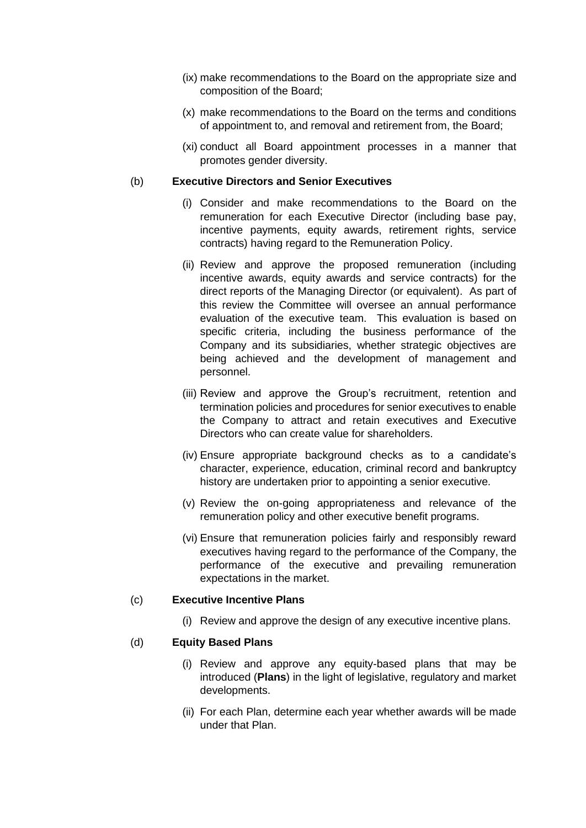- (ix) make recommendations to the Board on the appropriate size and composition of the Board;
- (x) make recommendations to the Board on the terms and conditions of appointment to, and removal and retirement from, the Board;
- (xi) conduct all Board appointment processes in a manner that promotes gender diversity.

#### (b) **Executive Directors and Senior Executives**

- (i) Consider and make recommendations to the Board on the remuneration for each Executive Director (including base pay, incentive payments, equity awards, retirement rights, service contracts) having regard to the Remuneration Policy.
- (ii) Review and approve the proposed remuneration (including incentive awards, equity awards and service contracts) for the direct reports of the Managing Director (or equivalent). As part of this review the Committee will oversee an annual performance evaluation of the executive team. This evaluation is based on specific criteria, including the business performance of the Company and its subsidiaries, whether strategic objectives are being achieved and the development of management and personnel.
- (iii) Review and approve the Group's recruitment, retention and termination policies and procedures for senior executives to enable the Company to attract and retain executives and Executive Directors who can create value for shareholders.
- (iv) Ensure appropriate background checks as to a candidate's character, experience, education, criminal record and bankruptcy history are undertaken prior to appointing a senior executive.
- (v) Review the on-going appropriateness and relevance of the remuneration policy and other executive benefit programs.
- (vi) Ensure that remuneration policies fairly and responsibly reward executives having regard to the performance of the Company, the performance of the executive and prevailing remuneration expectations in the market.

#### (c) **Executive Incentive Plans**

(i) Review and approve the design of any executive incentive plans.

## (d) **Equity Based Plans**

- (i) Review and approve any equity-based plans that may be introduced (**Plans**) in the light of legislative, regulatory and market developments.
- (ii) For each Plan, determine each year whether awards will be made under that Plan.